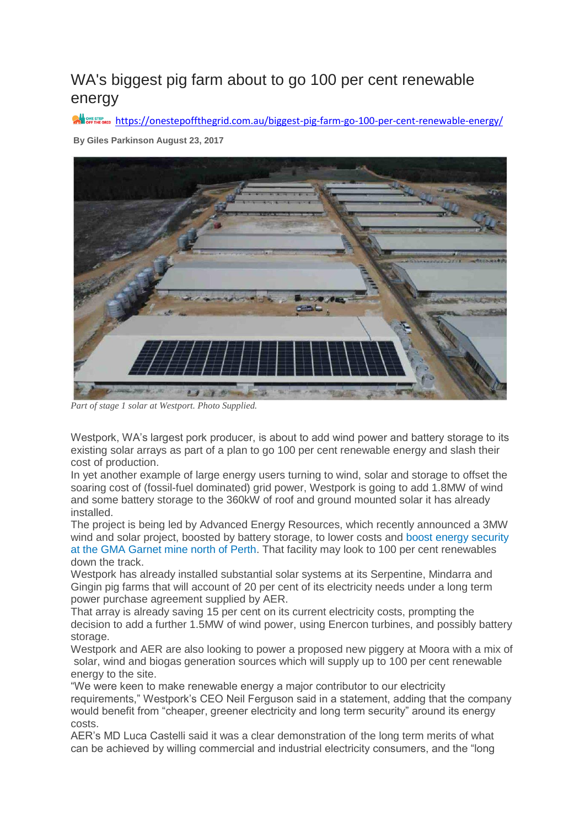## WA's biggest pig farm about to go 100 per cent renewable energy

**All** OFF THE GRID <https://onestepoffthegrid.com.au/biggest-pig-farm-go-100-per-cent-renewable-energy/>

**By [Giles Parkinson](https://onestepoffthegrid.com.au/author/giles-parkinson/) August 23, 2017**



*Part of stage 1 solar at Westport. Photo Supplied.*

Westpork, WA's largest pork producer, is about to add wind power and battery storage to its existing solar arrays as part of a plan to go 100 per cent renewable energy and slash their cost of production.

In yet another example of large energy users turning to wind, solar and storage to offset the soaring cost of (fossil-fuel dominated) grid power, Westpork is going to add 1.8MW of wind and some battery storage to the 360kW of roof and ground mounted solar it has already installed.

The project is being led by Advanced Energy Resources, which recently announced a 3MW wind and solar project, boosted by battery storage, to lower costs and [boost energy security](https://onestepoffthegrid.com.au/wa-garnet-miner-build-3mw-solar-wind-battery-storage-plant/)  [at the GMA Garnet mine north of Perth.](https://onestepoffthegrid.com.au/wa-garnet-miner-build-3mw-solar-wind-battery-storage-plant/) That facility may look to 100 per cent renewables down the track.

Westpork has already installed substantial solar systems at its Serpentine, Mindarra and Gingin pig farms that will account of 20 per cent of its electricity needs under a long term power purchase agreement supplied by AER.

That array is already saving 15 per cent on its current electricity costs, prompting the decision to add a further 1.5MW of wind power, using Enercon turbines, and possibly battery storage.

Westpork and AER are also looking to power a proposed new piggery at Moora with a mix of solar, wind and biogas generation sources which will supply up to 100 per cent renewable energy to the site.

"We were keen to make renewable energy a major contributor to our electricity requirements," Westpork's CEO Neil Ferguson said in a statement, adding that the company would benefit from "cheaper, greener electricity and long term security" around its energy costs.

AER's MD Luca Castelli said it was a clear demonstration of the long term merits of what can be achieved by willing commercial and industrial electricity consumers, and the "long